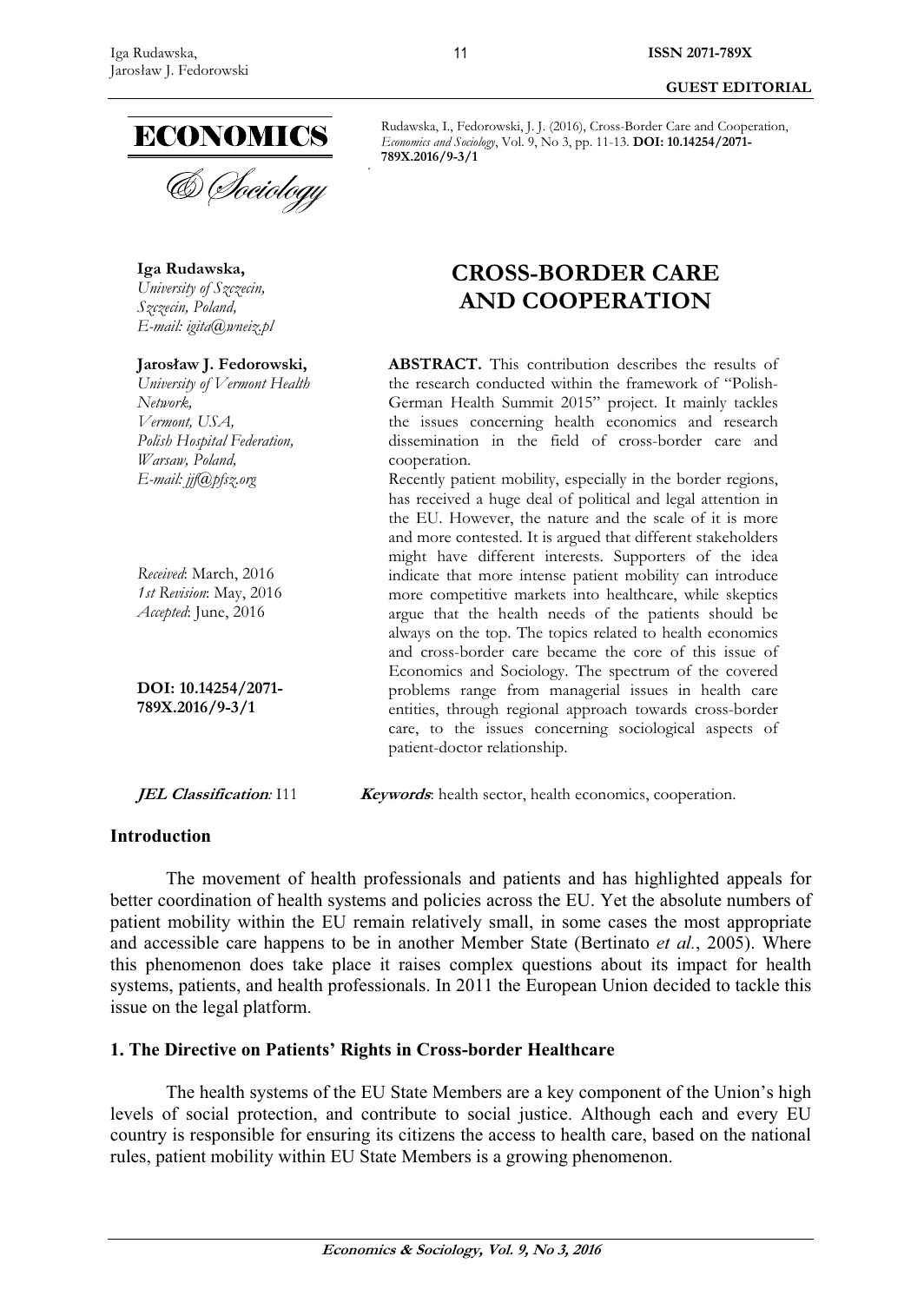**GUEST EDITORIAL** 

**Iga Rudawska,**  *University of Szczecin, Szczecin, Poland, E-mail: igita@wneiz.pl* 

**Jarosâaw J. Fedorowski,**  *University of Vermont Health Network, Vermont, USA, Polish Hospital Federation, Warsaw, Poland, E-mail: jjf@pfsz.org* 

*Received*: March, 2016 *1st Revision*: May, 2016 *Accepted*: June, 2016

**DOI: 10.14254/2071- 789X.2016/9-3/1**

# **CROSS-BORDER CARE AND COOPERATION**

Rudawska, I., Fedorowski, J. J. (2016), Cross-Border Care and Cooperation, *Economics and Sociology*, Vol. 9, No 3, pp. 11-13. **DOI: 10.14254/2071-**

**ABSTRACT.** This contribution describes the results of the research conducted within the framework of "Polish-German Health Summit 2015" project. It mainly tackles the issues concerning health economics and research dissemination in the field of cross-border care and cooperation.

Recently patient mobility, especially in the border regions, has received a huge deal of political and legal attention in the EU. However, the nature and the scale of it is more and more contested. It is argued that different stakeholders might have different interests. Supporters of the idea indicate that more intense patient mobility can introduce more competitive markets into healthcare, while skeptics argue that the health needs of the patients should be always on the top. The topics related to health economics and cross-border care became the core of this issue of Economics and Sociology. The spectrum of the covered problems range from managerial issues in health care entities, through regional approach towards cross-border care, to the issues concerning sociological aspects of patient-doctor relationship.

**JEL Classification**: I11 **Keywords**: health sector, health economics, cooperation.

### **Introduction**

The movement of health professionals and patients and has highlighted appeals for better coordination of health systems and policies across the EU. Yet the absolute numbers of patient mobility within the EU remain relatively small, in some cases the most appropriate and accessible care happens to be in another Member State (Bertinato *et al.*, 2005). Where this phenomenon does take place it raises complex questions about its impact for health systems, patients, and health professionals. In 2011 the European Union decided to tackle this issue on the legal platform.

# **1. The Directive on Patients' Rights in Cross-border Healthcare**

The health systems of the EU State Members are a key component of the Union's high levels of social protection, and contribute to social justice. Although each and every EU country is responsible for ensuring its citizens the access to health care, based on the national rules, patient mobility within EU State Members is a growing phenomenon.

**789X.2016/9-3/1**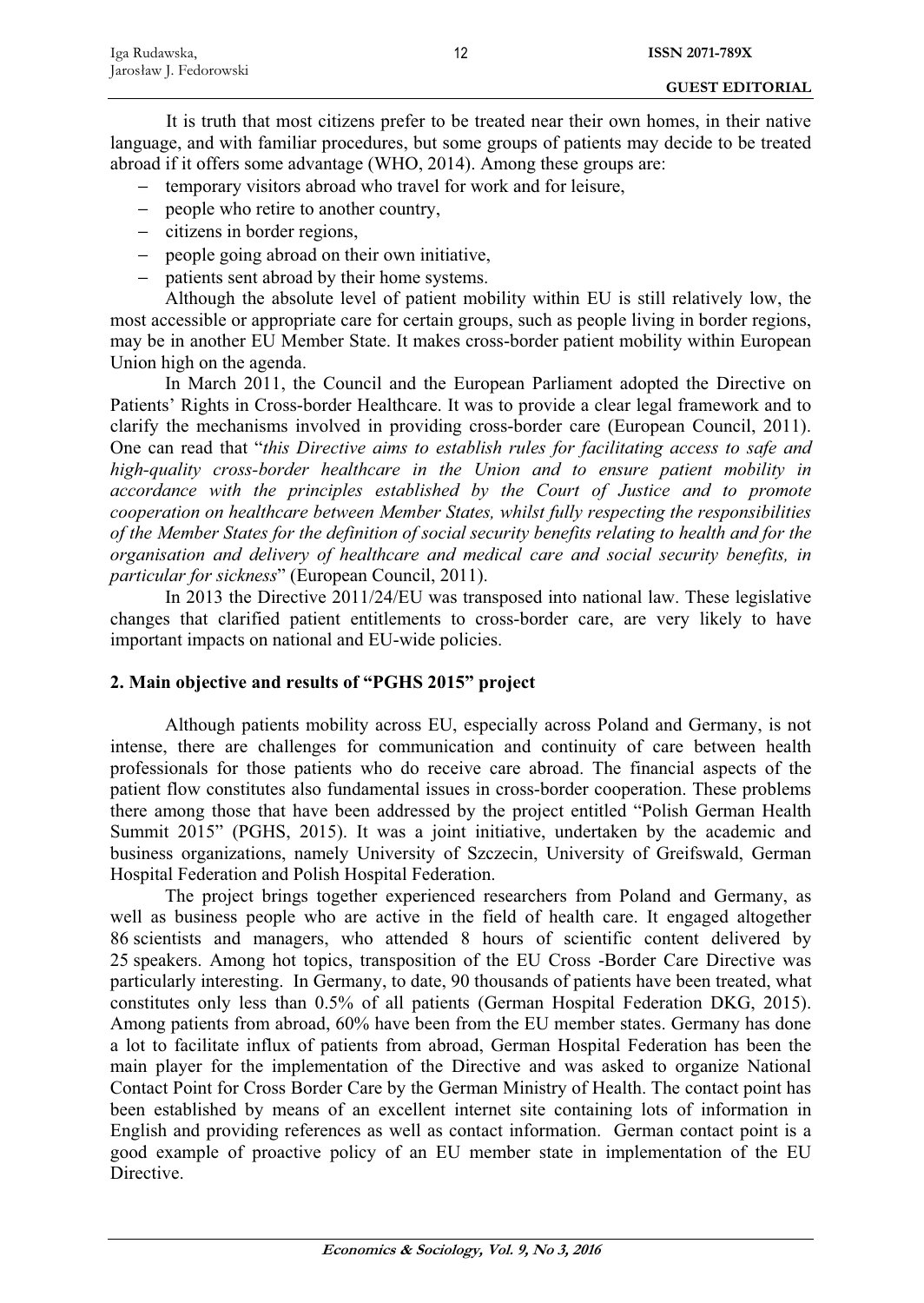It is truth that most citizens prefer to be treated near their own homes, in their native language, and with familiar procedures, but some groups of patients may decide to be treated abroad if it offers some advantage (WHO, 2014). Among these groups are:

- − temporary visitors abroad who travel for work and for leisure,
- − people who retire to another country,
- − citizens in border regions,
- − people going abroad on their own initiative,
- − patients sent abroad by their home systems.

Although the absolute level of patient mobility within EU is still relatively low, the most accessible or appropriate care for certain groups, such as people living in border regions, may be in another EU Member State. It makes cross-border patient mobility within European Union high on the agenda.

In March 2011, the Council and the European Parliament adopted the Directive on Patients' Rights in Cross-border Healthcare. It was to provide a clear legal framework and to clarify the mechanisms involved in providing cross-border care (European Council, 2011). One can read that "*this Directive aims to establish rules for facilitating access to safe and high-quality cross-border healthcare in the Union and to ensure patient mobility in accordance with the principles established by the Court of Justice and to promote cooperation on healthcare between Member States, whilst fully respecting the responsibilities of the Member States for the definition of social security benefits relating to health and for the organisation and delivery of healthcare and medical care and social security benefits, in particular for sickness*" (European Council, 2011).

In 2013 the Directive 2011/24/EU was transposed into national law. These legislative changes that clarified patient entitlements to cross-border care, are very likely to have important impacts on national and EU-wide policies.

# **2. Main objective and results of "PGHS 2015" project**

Although patients mobility across EU, especially across Poland and Germany, is not intense, there are challenges for communication and continuity of care between health professionals for those patients who do receive care abroad. The financial aspects of the patient flow constitutes also fundamental issues in cross-border cooperation. These problems there among those that have been addressed by the project entitled "Polish German Health Summit 2015" (PGHS, 2015). It was a joint initiative, undertaken by the academic and business organizations, namely University of Szczecin, University of Greifswald, German Hospital Federation and Polish Hospital Federation.

The project brings together experienced researchers from Poland and Germany, as well as business people who are active in the field of health care. It engaged altogether 86 scientists and managers, who attended 8 hours of scientific content delivered by 25 speakers. Among hot topics, transposition of the EU Cross -Border Care Directive was particularly interesting. In Germany, to date, 90 thousands of patients have been treated, what constitutes only less than 0.5% of all patients (German Hospital Federation DKG, 2015). Among patients from abroad, 60% have been from the EU member states. Germany has done a lot to facilitate influx of patients from abroad, German Hospital Federation has been the main player for the implementation of the Directive and was asked to organize National Contact Point for Cross Border Care by the German Ministry of Health. The contact point has been established by means of an excellent internet site containing lots of information in English and providing references as well as contact information. German contact point is a good example of proactive policy of an EU member state in implementation of the EU Directive.